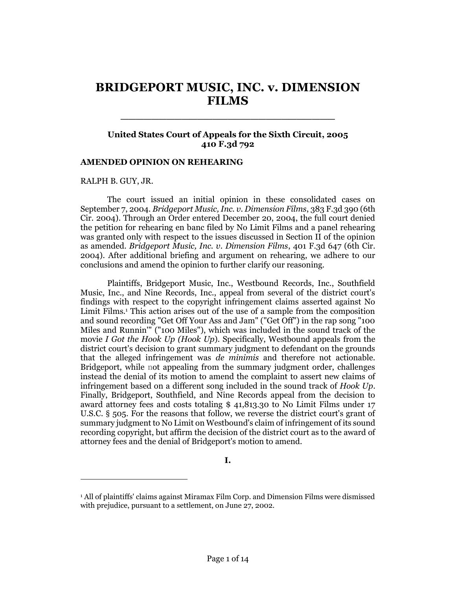# **BRIDGEPORT MUSIC, INC. v. DIMENSION FILMS**

\_\_\_\_\_\_\_\_\_\_\_\_\_\_\_\_\_\_\_\_\_\_\_\_\_\_\_\_

# **United States Court of Appeals for the Sixth Circuit, 2005 410 F.3d 792**

#### **AMENDED OPINION ON REHEARING**

#### RALPH B. GUY, JR.

 $\overline{a}$ 

The court issued an initial opinion in these consolidated cases on September 7, 2004. *Bridgeport Music, Inc. v. Dimension Films*, 383 F.3d 390 (6th Cir. 2004). Through an Order entered December 20, 2004, the full court denied the petition for rehearing en banc filed by No Limit Films and a panel rehearing was granted only with respect to the issues discussed in Section II of the opinion as amended. *Bridgeport Music, Inc. v. Dimension Films*, 401 F.3d 647 (6th Cir. 2004). After additional briefing and argument on rehearing, we adhere to our conclusions and amend the opinion to further clarify our reasoning.

Plaintiffs, Bridgeport Music, Inc., Westbound Records, Inc., Southfield Music, Inc., and Nine Records, Inc., appeal from several of the district court's findings with respect to the copyright infringement claims asserted against No Limit Films.<sup>1</sup> This action arises out of the use of a sample from the composition and sound recording "Get Off Your Ass and Jam" ("Get Off") in the rap song "100 Miles and Runnin'" ("100 Miles"), which was included in the sound track of the movie *I Got the Hook Up (Hook Up*). Specifically, Westbound appeals from the district court's decision to grant summary judgment to defendant on the grounds that the alleged infringement was *de minimis* and therefore not actionable. Bridgeport, while not appealing from the summary judgment order, challenges instead the denial of its motion to amend the complaint to assert new claims of infringement based on a different song included in the sound track of *Hook Up*. Finally, Bridgeport, Southfield, and Nine Records appeal from the decision to award attorney fees and costs totaling \$ 41,813.30 to No Limit Films under 17 U.S.C. § 505. For the reasons that follow, we reverse the district court's grant of summary judgment to No Limit on Westbound's claim of infringement of its sound recording copyright, but affirm the decision of the district court as to the award of attorney fees and the denial of Bridgeport's motion to amend.

**I.**

<sup>1</sup> All of plaintiffs' claims against Miramax Film Corp. and Dimension Films were dismissed with prejudice, pursuant to a settlement, on June 27, 2002.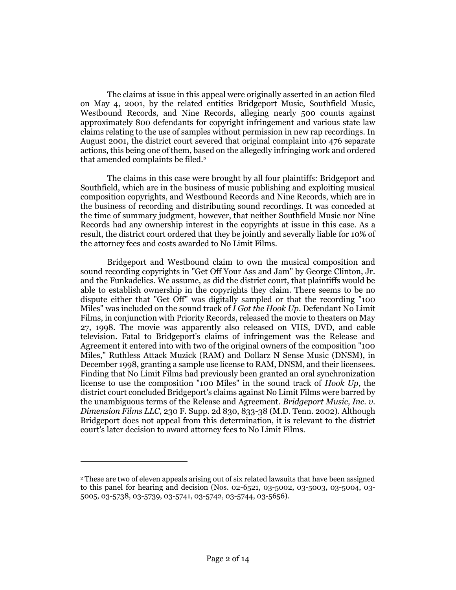The claims at issue in this appeal were originally asserted in an action filed on May 4, 2001, by the related entities Bridgeport Music, Southfield Music, Westbound Records, and Nine Records, alleging nearly 500 counts against approximately 800 defendants for copyright infringement and various state law claims relating to the use of samples without permission in new rap recordings. In August 2001, the district court severed that original complaint into 476 separate actions, this being one of them, based on the allegedly infringing work and ordered that amended complaints be filed.<sup>2</sup>

The claims in this case were brought by all four plaintiffs: Bridgeport and Southfield, which are in the business of music publishing and exploiting musical composition copyrights, and Westbound Records and Nine Records, which are in the business of recording and distributing sound recordings. It was conceded at the time of summary judgment, however, that neither Southfield Music nor Nine Records had any ownership interest in the copyrights at issue in this case. As a result, the district court ordered that they be jointly and severally liable for 10% of the attorney fees and costs awarded to No Limit Films.

Bridgeport and Westbound claim to own the musical composition and sound recording copyrights in "Get Off Your Ass and Jam" by George Clinton, Jr. and the Funkadelics. We assume, as did the district court, that plaintiffs would be able to establish ownership in the copyrights they claim. There seems to be no dispute either that "Get Off" was digitally sampled or that the recording "100 Miles" was included on the sound track of *I Got the Hook Up*. Defendant No Limit Films, in conjunction with Priority Records, released the movie to theaters on May 27, 1998. The movie was apparently also released on VHS, DVD, and cable television. Fatal to Bridgeport's claims of infringement was the Release and Agreement it entered into with two of the original owners of the composition "100 Miles," Ruthless Attack Muzick (RAM) and Dollarz N Sense Music (DNSM), in December 1998, granting a sample use license to RAM, DNSM, and their licensees. Finding that No Limit Films had previously been granted an oral synchronization license to use the composition "100 Miles" in the sound track of *Hook Up*, the district court concluded Bridgeport's claims against No Limit Films were barred by the unambiguous terms of the Release and Agreement. *Bridgeport Music, Inc. v. Dimension Films LLC*, 230 F. Supp. 2d 830, 833-38 (M.D. Tenn. 2002). Although Bridgeport does not appeal from this determination, it is relevant to the district court's later decision to award attorney fees to No Limit Films.

<sup>2</sup> These are two of eleven appeals arising out of six related lawsuits that have been assigned to this panel for hearing and decision (Nos. 02-6521, 03-5002, 03-5003, 03-5004, 03- 5005, 03-5738, 03-5739, 03-5741, 03-5742, 03-5744, 03-5656).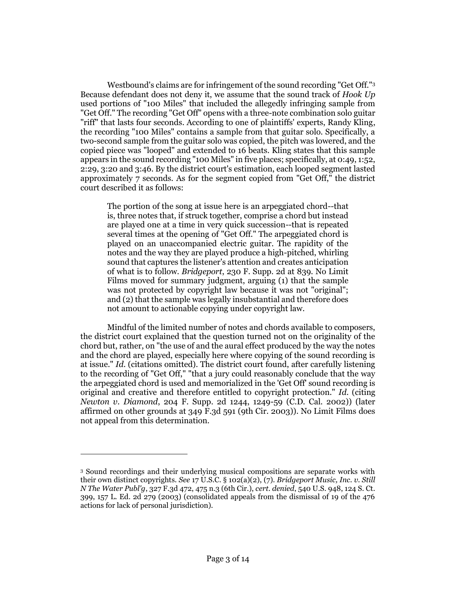Westbound's claims are for infringement of the sound recording "Get Off."<sup>3</sup> Because defendant does not deny it, we assume that the sound track of *Hook Up* used portions of "100 Miles" that included the allegedly infringing sample from "Get Off." The recording "Get Off" opens with a three-note combination solo guitar "riff" that lasts four seconds. According to one of plaintiffs' experts, Randy Kling, the recording "100 Miles" contains a sample from that guitar solo. Specifically, a two-second sample from the guitar solo was copied, the pitch was lowered, and the copied piece was "looped" and extended to 16 beats. Kling states that this sample appears in the sound recording "100 Miles" in five places; specifically, at 0:49, 1:52, 2:29, 3:20 and 3:46. By the district court's estimation, each looped segment lasted approximately 7 seconds. As for the segment copied from "Get Off," the district court described it as follows:

The portion of the song at issue here is an arpeggiated chord--that is, three notes that, if struck together, comprise a chord but instead are played one at a time in very quick succession--that is repeated several times at the opening of "Get Off." The arpeggiated chord is played on an unaccompanied electric guitar. The rapidity of the notes and the way they are played produce a high-pitched, whirling sound that captures the listener's attention and creates anticipation of what is to follow. *Bridgeport*, 230 F. Supp. 2d at 839. No Limit Films moved for summary judgment, arguing (1) that the sample was not protected by copyright law because it was not "original"; and (2) that the sample was legally insubstantial and therefore does not amount to actionable copying under copyright law.

Mindful of the limited number of notes and chords available to composers, the district court explained that the question turned not on the originality of the chord but, rather, on "the use of and the aural effect produced by the way the notes and the chord are played, especially here where copying of the sound recording is at issue." *Id.* (citations omitted). The district court found, after carefully listening to the recording of "Get Off," "that a jury could reasonably conclude that the way the arpeggiated chord is used and memorialized in the 'Get Off' sound recording is original and creative and therefore entitled to copyright protection." *Id.* (citing *Newton v. Diamond*, 204 F. Supp. 2d 1244, 1249-59 (C.D. Cal. 2002)) (later affirmed on other grounds at 349 F.3d 591 (9th Cir. 2003)). No Limit Films does not appeal from this determination.

<sup>3</sup> Sound recordings and their underlying musical compositions are separate works with their own distinct copyrights. *See* 17 U.S.C. § 102(a)(2), (7). *Bridgeport Music, Inc. v. Still N The Water Publ'g*, 327 F.3d 472, 475 n.3 (6th Cir.), *cert. denied*, 540 U.S. 948, 124 S. Ct. 399, 157 L. Ed. 2d 279 (2003) (consolidated appeals from the dismissal of 19 of the 476 actions for lack of personal jurisdiction).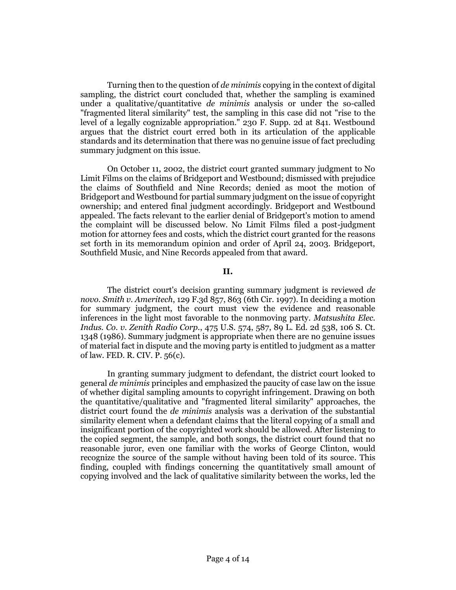Turning then to the question of *de minimis* copying in the context of digital sampling, the district court concluded that, whether the sampling is examined under a qualitative/quantitative *de minimis* analysis or under the so-called "fragmented literal similarity" test, the sampling in this case did not "rise to the level of a legally cognizable appropriation." 230 F. Supp. 2d at 841. Westbound argues that the district court erred both in its articulation of the applicable standards and its determination that there was no genuine issue of fact precluding summary judgment on this issue.

On October 11, 2002, the district court granted summary judgment to No Limit Films on the claims of Bridgeport and Westbound; dismissed with prejudice the claims of Southfield and Nine Records; denied as moot the motion of Bridgeport and Westbound for partial summary judgment on the issue of copyright ownership; and entered final judgment accordingly. Bridgeport and Westbound appealed. The facts relevant to the earlier denial of Bridgeport's motion to amend the complaint will be discussed below. No Limit Films filed a post-judgment motion for attorney fees and costs, which the district court granted for the reasons set forth in its memorandum opinion and order of April 24, 2003. Bridgeport, Southfield Music, and Nine Records appealed from that award.

### **II.**

The district court's decision granting summary judgment is reviewed *de novo*. *Smith v. Ameritech*, 129 F.3d 857, 863 (6th Cir. 1997). In deciding a motion for summary judgment, the court must view the evidence and reasonable inferences in the light most favorable to the nonmoving party. *Matsushita Elec. Indus. Co. v. Zenith Radio Corp.*, 475 U.S. 574, 587, 89 L. Ed. 2d 538, 106 S. Ct. 1348 (1986). Summary judgment is appropriate when there are no genuine issues of material fact in dispute and the moving party is entitled to judgment as a matter of law. FED. R. CIV. P. 56(c).

In granting summary judgment to defendant, the district court looked to general *de minimis* principles and emphasized the paucity of case law on the issue of whether digital sampling amounts to copyright infringement. Drawing on both the quantitative/qualitative and "fragmented literal similarity" approaches, the district court found the *de minimis* analysis was a derivation of the substantial similarity element when a defendant claims that the literal copying of a small and insignificant portion of the copyrighted work should be allowed. After listening to the copied segment, the sample, and both songs, the district court found that no reasonable juror, even one familiar with the works of George Clinton, would recognize the source of the sample without having been told of its source. This finding, coupled with findings concerning the quantitatively small amount of copying involved and the lack of qualitative similarity between the works, led the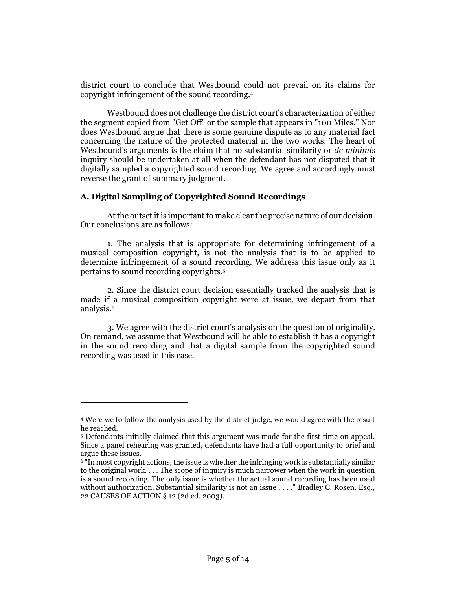district court to conclude that Westbound could not prevail on its claims for copyright infringement of the sound recording.<sup>4</sup>

Westbound does not challenge the district court's characterization of either the segment copied from "Get Off" or the sample that appears in "100 Miles." Nor does Westbound argue that there is some genuine dispute as to any material fact concerning the nature of the protected material in the two works. The heart of Westbound's arguments is the claim that no substantial similarity or *de minimis* inquiry should be undertaken at all when the defendant has not disputed that it digitally sampled a copyrighted sound recording. We agree and accordingly must reverse the grant of summary judgment.

## **A. Digital Sampling of Copyrighted Sound Recordings**

At the outset it is important to make clear the precise nature of our decision. Our conclusions are as follows:

1. The analysis that is appropriate for determining infringement of a musical composition copyright, is not the analysis that is to be applied to determine infringement of a sound recording. We address this issue only as it pertains to sound recording copyrights.<sup>5</sup>

2. Since the district court decision essentially tracked the analysis that is made if a musical composition copyright were at issue, we depart from that analysis.<sup>6</sup>

3. We agree with the district court's analysis on the question of originality. On remand, we assume that Westbound will be able to establish it has a copyright in the sound recording and that a digital sample from the copyrighted sound recording was used in this case.

<sup>4</sup> Were we to follow the analysis used by the district judge, we would agree with the result he reached.

<sup>5</sup> Defendants initially claimed that this argument was made for the first time on appeal. Since a panel rehearing was granted, defendants have had a full opportunity to brief and argue these issues.

<sup>6</sup> "In most copyright actions, the issue is whether the infringing work is substantially similar to the original work. . . . The scope of inquiry is much narrower when the work in question is a sound recording. The only issue is whether the actual sound recording has been used without authorization. Substantial similarity is not an issue . . . . " Bradley C. Rosen, Esq., 22 CAUSES OF ACTION § 12 (2d ed. 2003).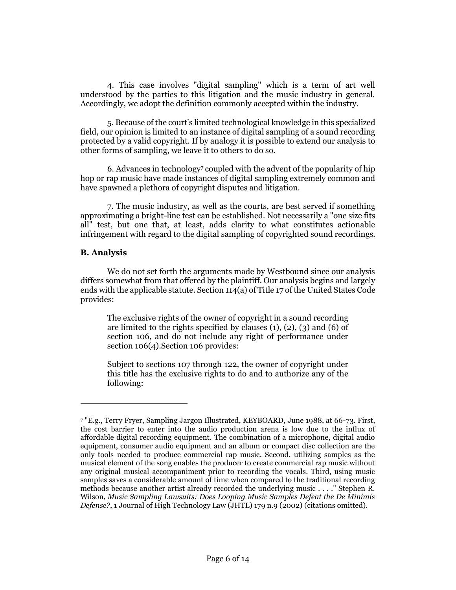4. This case involves "digital sampling" which is a term of art well understood by the parties to this litigation and the music industry in general. Accordingly, we adopt the definition commonly accepted within the industry.

5. Because of the court's limited technological knowledge in this specialized field, our opinion is limited to an instance of digital sampling of a sound recording protected by a valid copyright. If by analogy it is possible to extend our analysis to other forms of sampling, we leave it to others to do so.

6. Advances in technology<sup>7</sup> coupled with the advent of the popularity of hip hop or rap music have made instances of digital sampling extremely common and have spawned a plethora of copyright disputes and litigation.

7. The music industry, as well as the courts, are best served if something approximating a bright-line test can be established. Not necessarily a "one size fits all" test, but one that, at least, adds clarity to what constitutes actionable infringement with regard to the digital sampling of copyrighted sound recordings.

#### **B. Analysis**

 $\overline{a}$ 

We do not set forth the arguments made by Westbound since our analysis differs somewhat from that offered by the plaintiff. Our analysis begins and largely ends with the applicable statute. Section 114(a) of Title 17 of the United States Code provides:

The exclusive rights of the owner of copyright in a sound recording are limited to the rights specified by clauses (1), (2), (3) and (6) of section 106, and do not include any right of performance under section 106(4). Section 106 provides:

Subject to sections 107 through 122, the owner of copyright under this title has the exclusive rights to do and to authorize any of the following:

<sup>7</sup> "E.g., Terry Fryer, Sampling Jargon Illustrated, KEYBOARD, June 1988, at 66-73. First, the cost barrier to enter into the audio production arena is low due to the influx of affordable digital recording equipment. The combination of a microphone, digital audio equipment, consumer audio equipment and an album or compact disc collection are the only tools needed to produce commercial rap music. Second, utilizing samples as the musical element of the song enables the producer to create commercial rap music without any original musical accompaniment prior to recording the vocals. Third, using music samples saves a considerable amount of time when compared to the traditional recording methods because another artist already recorded the underlying music . . . ." Stephen R. Wilson, *Music Sampling Lawsuits: Does Looping Music Samples Defeat the De Minimis Defense?*, 1 Journal of High Technology Law (JHTL) 179 n.9 (2002) (citations omitted).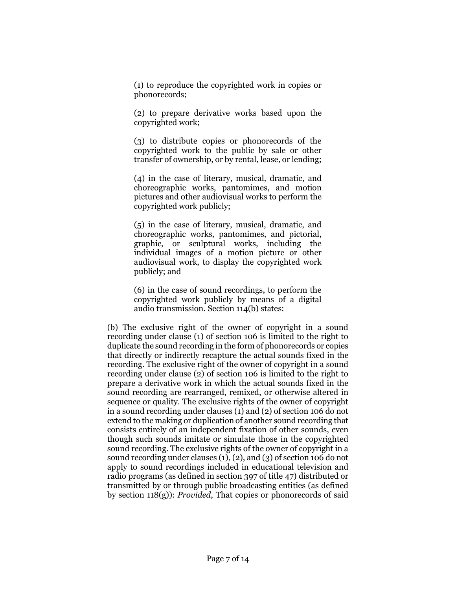(1) to reproduce the copyrighted work in copies or phonorecords;

(2) to prepare derivative works based upon the copyrighted work;

(3) to distribute copies or phonorecords of the copyrighted work to the public by sale or other transfer of ownership, or by rental, lease, or lending;

(4) in the case of literary, musical, dramatic, and choreographic works, pantomimes, and motion pictures and other audiovisual works to perform the copyrighted work publicly;

(5) in the case of literary, musical, dramatic, and choreographic works, pantomimes, and pictorial, graphic, or sculptural works, including the individual images of a motion picture or other audiovisual work, to display the copyrighted work publicly; and

(6) in the case of sound recordings, to perform the copyrighted work publicly by means of a digital audio transmission. Section 114(b) states:

(b) The exclusive right of the owner of copyright in a sound recording under clause (1) of section 106 is limited to the right to duplicate the sound recording in the form of phonorecords or copies that directly or indirectly recapture the actual sounds fixed in the recording. The exclusive right of the owner of copyright in a sound recording under clause (2) of section 106 is limited to the right to prepare a derivative work in which the actual sounds fixed in the sound recording are rearranged, remixed, or otherwise altered in sequence or quality. The exclusive rights of the owner of copyright in a sound recording under clauses (1) and (2) of section 106 do not extend to the making or duplication of another sound recording that consists entirely of an independent fixation of other sounds, even though such sounds imitate or simulate those in the copyrighted sound recording. The exclusive rights of the owner of copyright in a sound recording under clauses (1), (2), and (3) of section 106 do not apply to sound recordings included in educational television and radio programs (as defined in section 397 of title 47) distributed or transmitted by or through public broadcasting entities (as defined by section 118(g)): *Provided*, That copies or phonorecords of said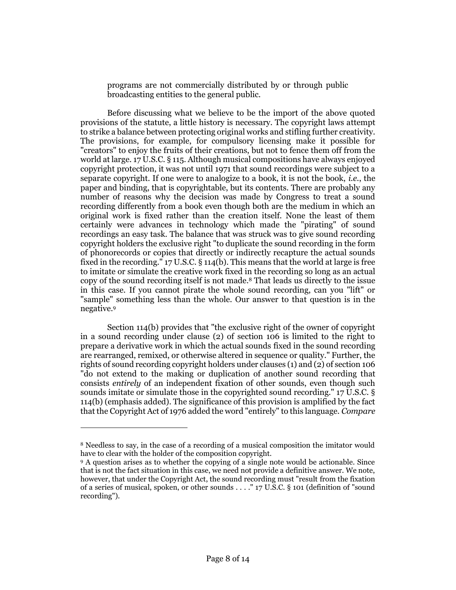programs are not commercially distributed by or through public broadcasting entities to the general public.

Before discussing what we believe to be the import of the above quoted provisions of the statute, a little history is necessary. The copyright laws attempt to strike a balance between protecting original works and stifling further creativity. The provisions, for example, for compulsory licensing make it possible for "creators" to enjoy the fruits of their creations, but not to fence them off from the world at large. 17 U.S.C. § 115. Although musical compositions have always enjoyed copyright protection, it was not until 1971 that sound recordings were subject to a separate copyright. If one were to analogize to a book, it is not the book, *i.e.*, the paper and binding, that is copyrightable, but its contents. There are probably any number of reasons why the decision was made by Congress to treat a sound recording differently from a book even though both are the medium in which an original work is fixed rather than the creation itself. None the least of them certainly were advances in technology which made the "pirating" of sound recordings an easy task. The balance that was struck was to give sound recording copyright holders the exclusive right "to duplicate the sound recording in the form of phonorecords or copies that directly or indirectly recapture the actual sounds fixed in the recording." 17 U.S.C. § 114(b). This means that the world at large is free to imitate or simulate the creative work fixed in the recording so long as an actual copy of the sound recording itself is not made.<sup>8</sup> That leads us directly to the issue in this case. If you cannot pirate the whole sound recording, can you "lift" or "sample" something less than the whole. Our answer to that question is in the negative.<sup>9</sup>

Section 114(b) provides that "the exclusive right of the owner of copyright in a sound recording under clause (2) of section 106 is limited to the right to prepare a derivative work in which the actual sounds fixed in the sound recording are rearranged, remixed, or otherwise altered in sequence or quality." Further, the rights of sound recording copyright holders under clauses (1) and (2) of section 106 "do not extend to the making or duplication of another sound recording that consists *entirely* of an independent fixation of other sounds, even though such sounds imitate or simulate those in the copyrighted sound recording." 17 U.S.C. § 114(b) (emphasis added). The significance of this provision is amplified by the fact that the Copyright Act of 1976 added the word "entirely" to this language. *Compare*

<sup>8</sup> Needless to say, in the case of a recording of a musical composition the imitator would have to clear with the holder of the composition copyright.

<sup>9</sup> A question arises as to whether the copying of a single note would be actionable. Since that is not the fact situation in this case, we need not provide a definitive answer. We note, however, that under the Copyright Act, the sound recording must "result from the fixation of a series of musical, spoken, or other sounds . . . ." 17 U.S.C. § 101 (definition of "sound recording").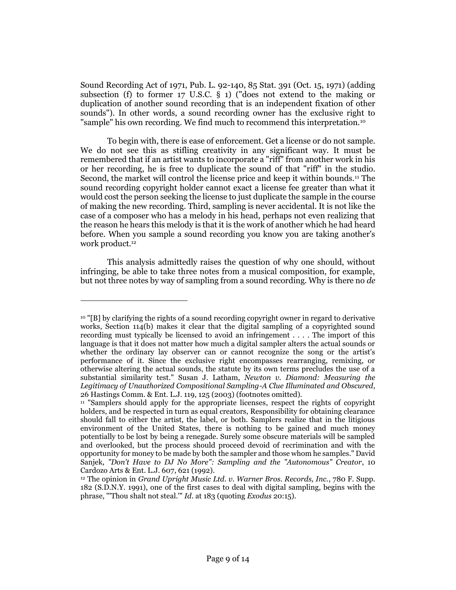Sound Recording Act of 1971, Pub. L. 92-140, 85 Stat. 391 (Oct. 15, 1971) (adding subsection (f) to former 17 U.S.C. § 1) ("does not extend to the making or duplication of another sound recording that is an independent fixation of other sounds"). In other words, a sound recording owner has the exclusive right to "sample" his own recording. We find much to recommend this interpretation.<sup>10</sup>

To begin with, there is ease of enforcement. Get a license or do not sample. We do not see this as stifling creativity in any significant way. It must be remembered that if an artist wants to incorporate a "riff" from another work in his or her recording, he is free to duplicate the sound of that "riff" in the studio. Second, the market will control the license price and keep it within bounds.<sup>11</sup> The sound recording copyright holder cannot exact a license fee greater than what it would cost the person seeking the license to just duplicate the sample in the course of making the new recording. Third, sampling is never accidental. It is not like the case of a composer who has a melody in his head, perhaps not even realizing that the reason he hears this melody is that it is the work of another which he had heard before. When you sample a sound recording you know you are taking another's work product.<sup>12</sup>

This analysis admittedly raises the question of why one should, without infringing, be able to take three notes from a musical composition, for example, but not three notes by way of sampling from a sound recording. Why is there no *de* 

<sup>10</sup> "[B] by clarifying the rights of a sound recording copyright owner in regard to derivative works, Section 114(b) makes it clear that the digital sampling of a copyrighted sound recording must typically be licensed to avoid an infringement . . . . The import of this language is that it does not matter how much a digital sampler alters the actual sounds or whether the ordinary lay observer can or cannot recognize the song or the artist's performance of it. Since the exclusive right encompasses rearranging, remixing, or otherwise altering the actual sounds, the statute by its own terms precludes the use of a substantial similarity test." Susan J. Latham, *Newton v. Diamond: Measuring the Legitimacy of Unauthorized Compositional Sampling-A Clue Illuminated and Obscured*, 26 Hastings Comm. & Ent. L.J. 119, 125 (2003) (footnotes omitted).

<sup>11</sup> "Samplers should apply for the appropriate licenses, respect the rights of copyright holders, and be respected in turn as equal creators, Responsibility for obtaining clearance should fall to either the artist, the label, or both. Samplers realize that in the litigious environment of the United States, there is nothing to be gained and much money potentially to be lost by being a renegade. Surely some obscure materials will be sampled and overlooked, but the process should proceed devoid of recrimination and with the opportunity for money to be made by both the sampler and those whom he samples." David Sanjek, *"Don't Have to DJ No More": Sampling and the "Autonomous" Creator*, 10 Cardozo Arts & Ent. L.J. 607, 621 (1992).

<sup>12</sup> The opinion in *Grand Upright Music Ltd. v. Warner Bros. Records, Inc.*, 780 F. Supp. 182 (S.D.N.Y. 1991), one of the first cases to deal with digital sampling, begins with the phrase, "'Thou shalt not steal.'" *Id*. at 183 (quoting *Exodus* 20:15).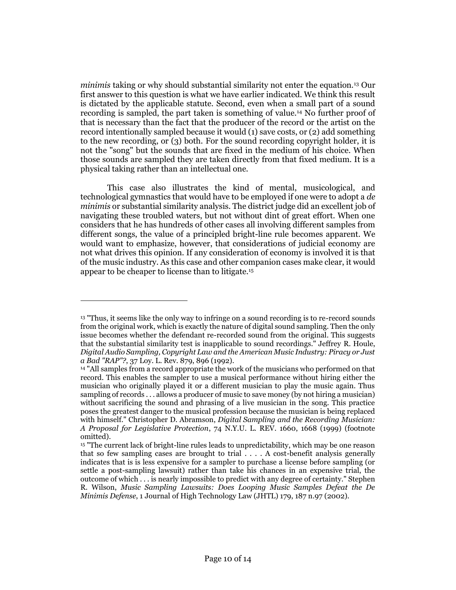*minimis* taking or why should substantial similarity not enter the equation.<sup>13</sup> Our first answer to this question is what we have earlier indicated. We think this result is dictated by the applicable statute. Second, even when a small part of a sound recording is sampled, the part taken is something of value.<sup>14</sup> No further proof of that is necessary than the fact that the producer of the record or the artist on the record intentionally sampled because it would (1) save costs, or (2) add something to the new recording, or (3) both. For the sound recording copyright holder, it is not the "song" but the sounds that are fixed in the medium of his choice. When those sounds are sampled they are taken directly from that fixed medium. It is a physical taking rather than an intellectual one.

This case also illustrates the kind of mental, musicological, and technological gymnastics that would have to be employed if one were to adopt a *de minimis* or substantial similarity analysis. The district judge did an excellent job of navigating these troubled waters, but not without dint of great effort. When one considers that he has hundreds of other cases all involving different samples from different songs, the value of a principled bright-line rule becomes apparent. We would want to emphasize, however, that considerations of judicial economy are not what drives this opinion. If any consideration of economy is involved it is that of the music industry. As this case and other companion cases make clear, it would appear to be cheaper to license than to litigate.<sup>15</sup>

<sup>13</sup> "Thus, it seems like the only way to infringe on a sound recording is to re-record sounds from the original work, which is exactly the nature of digital sound sampling. Then the only issue becomes whether the defendant re-recorded sound from the original. This suggests that the substantial similarity test is inapplicable to sound recordings." Jeffrey R. Houle, *Digital Audio Sampling, Copyright Law and the American Music Industry: Piracy or Just a Bad "RAP"?*, 37 Loy. L. Rev. 879, 896 (1992).

<sup>14</sup> "All samples from a record appropriate the work of the musicians who performed on that record. This enables the sampler to use a musical performance without hiring either the musician who originally played it or a different musician to play the music again. Thus sampling of records . . . allows a producer of music to save money (by not hiring a musician) without sacrificing the sound and phrasing of a live musician in the song. This practice poses the greatest danger to the musical profession because the musician is being replaced with himself." Christopher D. Abramson, *Digital Sampling and the Recording Musician: A Proposal for Legislative Protection*, 74 N.Y.U. L. REV. 1660, 1668 (1999) (footnote omitted).

<sup>15</sup> "The current lack of bright-line rules leads to unpredictability, which may be one reason that so few sampling cases are brought to trial . . . . A cost-benefit analysis generally indicates that is is less expensive for a sampler to purchase a license before sampling (or settle a post-sampling lawsuit) rather than take his chances in an expensive trial, the outcome of which . . . is nearly impossible to predict with any degree of certainty." Stephen R. Wilson, *Music Sampling Lawsuits: Does Looping Music Samples Defeat the De Minimis Defense*, 1 Journal of High Technology Law (JHTL) 179, 187 n.97 (2002).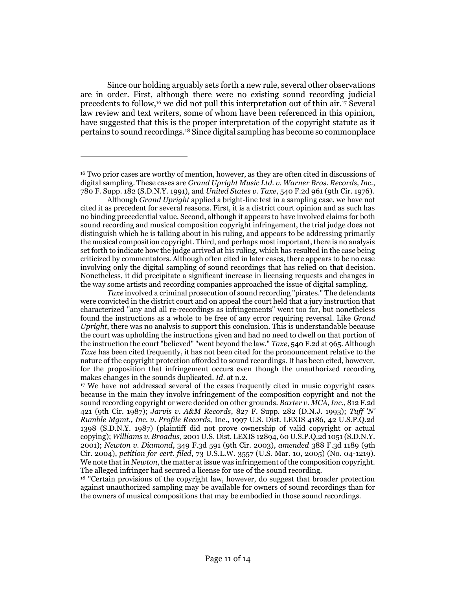Since our holding arguably sets forth a new rule, several other observations are in order. First, although there were no existing sound recording judicial precedents to follow,<sup>16</sup> we did not pull this interpretation out of thin air.<sup>17</sup> Several law review and text writers, some of whom have been referenced in this opinion, have suggested that this is the proper interpretation of the copyright statute as it pertains to sound recordings.<sup>18</sup> Since digital sampling has become so commonplace

 $\overline{a}$ 

Although *Grand Upright* applied a bright-line test in a sampling case, we have not cited it as precedent for several reasons. First, it is a district court opinion and as such has no binding precedential value. Second, although it appears to have involved claims for both sound recording and musical composition copyright infringement, the trial judge does not distinguish which he is talking about in his ruling, and appears to be addressing primarily the musical composition copyright. Third, and perhaps most important, there is no analysis set forth to indicate how the judge arrived at his ruling, which has resulted in the case being criticized by commentators. Although often cited in later cases, there appears to be no case involving only the digital sampling of sound recordings that has relied on that decision. Nonetheless, it did precipitate a significant increase in licensing requests and changes in the way some artists and recording companies approached the issue of digital sampling.

*Taxe* involved a criminal prosecution of sound recording "pirates." The defendants were convicted in the district court and on appeal the court held that a jury instruction that characterized "any and all re-recordings as infringements" went too far, but nonetheless found the instructions as a whole to be free of any error requiring reversal. Like *Grand Upright*, there was no analysis to support this conclusion. This is understandable because the court was upholding the instructions given and had no need to dwell on that portion of the instruction the court "believed" "went beyond the law." *Taxe*, 540 F.2d at 965. Although *Taxe* has been cited frequently, it has not been cited for the pronouncement relative to the nature of the copyright protection afforded to sound recordings. It has been cited, however, for the proposition that infringement occurs even though the unauthorized recording makes changes in the sounds duplicated. *Id*. at n.2.

<sup>17</sup> We have not addressed several of the cases frequently cited in music copyright cases because in the main they involve infringement of the composition copyright and not the sound recording copyright or were decided on other grounds. *Baxter v. MCA, Inc*., 812 F.2d 421 (9th Cir. 1987); *Jarvis v. A&M Records*, 827 F. Supp. 282 (D.N.J. 1993); *Tuff 'N' Rumble Mgmt., Inc. v. Profile Records,* Inc., 1997 U.S. Dist. LEXIS 4186, 42 U.S.P.Q.2d 1398 (S.D.N.Y. 1987) (plaintiff did not prove ownership of valid copyright or actual copying); *Williams v. Broadus*, 2001 U.S. Dist. LEXIS 12894, 60 U.S.P.Q.2d 1051 (S.D.N.Y. 2001); *Newton v. Diamond*, 349 F.3d 591 (9th Cir. 2003), *amended* 388 F.3d 1189 (9th Cir. 2004), *petition for cert. filed*, 73 U.S.L.W. 3557 (U.S. Mar. 10, 2005) (No. 04-1219). We note that in *Newton*, the matter at issue was infringement of the composition copyright. The alleged infringer had secured a license for use of the sound recording.

<sup>18</sup> "Certain provisions of the copyright law, however, do suggest that broader protection against unauthorized sampling may be available for owners of sound recordings than for the owners of musical compositions that may be embodied in those sound recordings.

<sup>16</sup> Two prior cases are worthy of mention, however, as they are often cited in discussions of digital sampling. These cases are *Grand Upright Music Ltd. v. Warner Bros. Records, Inc.*, 780 F. Supp. 182 (S.D.N.Y. 1991), and *United States v. Taxe*, 540 F.2d 961 (9th Cir. 1976).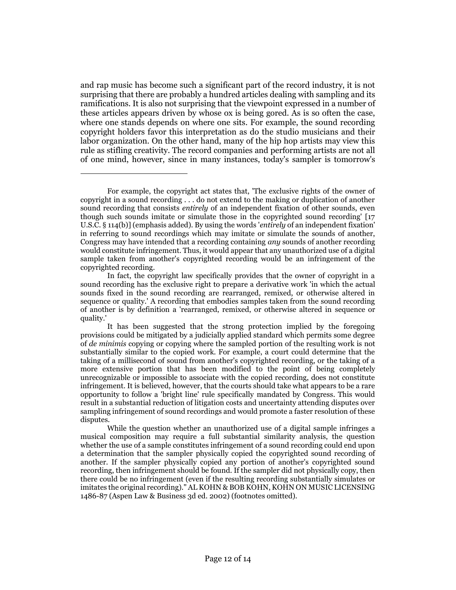and rap music has become such a significant part of the record industry, it is not surprising that there are probably a hundred articles dealing with sampling and its ramifications. It is also not surprising that the viewpoint expressed in a number of these articles appears driven by whose ox is being gored. As is so often the case, where one stands depends on where one sits. For example, the sound recording copyright holders favor this interpretation as do the studio musicians and their labor organization. On the other hand, many of the hip hop artists may view this rule as stifling creativity. The record companies and performing artists are not all of one mind, however, since in many instances, today's sampler is tomorrow's

For example, the copyright act states that, 'The exclusive rights of the owner of copyright in a sound recording . . . do not extend to the making or duplication of another sound recording that consists *entirely* of an independent fixation of other sounds, even though such sounds imitate or simulate those in the copyrighted sound recording' [17 U.S.C. § 114(b)] (emphasis added). By using the words '*entirely* of an independent fixation' in referring to sound recordings which may imitate or simulate the sounds of another, Congress may have intended that a recording containing *any* sounds of another recording would constitute infringement. Thus, it would appear that any unauthorized use of a digital sample taken from another's copyrighted recording would be an infringement of the copyrighted recording.

In fact, the copyright law specifically provides that the owner of copyright in a sound recording has the exclusive right to prepare a derivative work 'in which the actual sounds fixed in the sound recording are rearranged, remixed, or otherwise altered in sequence or quality.' A recording that embodies samples taken from the sound recording of another is by definition a 'rearranged, remixed, or otherwise altered in sequence or quality.'

It has been suggested that the strong protection implied by the foregoing provisions could be mitigated by a judicially applied standard which permits some degree of *de minimis* copying or copying where the sampled portion of the resulting work is not substantially similar to the copied work. For example, a court could determine that the taking of a millisecond of sound from another's copyrighted recording, or the taking of a more extensive portion that has been modified to the point of being completely unrecognizable or impossible to associate with the copied recording, does not constitute infringement. It is believed, however, that the courts should take what appears to be a rare opportunity to follow a 'bright line' rule specifically mandated by Congress. This would result in a substantial reduction of litigation costs and uncertainty attending disputes over sampling infringement of sound recordings and would promote a faster resolution of these disputes.

While the question whether an unauthorized use of a digital sample infringes a musical composition may require a full substantial similarity analysis, the question whether the use of a sample constitutes infringement of a sound recording could end upon a determination that the sampler physically copied the copyrighted sound recording of another. If the sampler physically copied any portion of another's copyrighted sound recording, then infringement should be found. If the sampler did not physically copy, then there could be no infringement (even if the resulting recording substantially simulates or imitates the original recording)." AL KOHN & BOB KOHN, KOHN ON MUSIC LICENSING 1486-87 (Aspen Law & Business 3d ed. 2002) (footnotes omitted).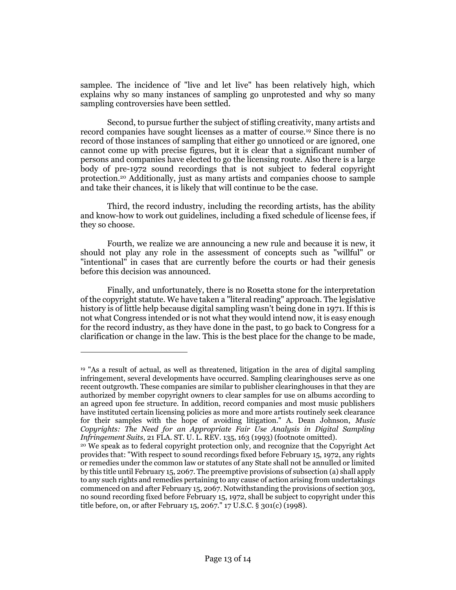samplee. The incidence of "live and let live" has been relatively high, which explains why so many instances of sampling go unprotested and why so many sampling controversies have been settled.

Second, to pursue further the subject of stifling creativity, many artists and record companies have sought licenses as a matter of course.<sup>19</sup> Since there is no record of those instances of sampling that either go unnoticed or are ignored, one cannot come up with precise figures, but it is clear that a significant number of persons and companies have elected to go the licensing route. Also there is a large body of pre-1972 sound recordings that is not subject to federal copyright protection.<sup>20</sup> Additionally, just as many artists and companies choose to sample and take their chances, it is likely that will continue to be the case.

Third, the record industry, including the recording artists, has the ability and know-how to work out guidelines, including a fixed schedule of license fees, if they so choose.

Fourth, we realize we are announcing a new rule and because it is new, it should not play any role in the assessment of concepts such as "willful" or "intentional" in cases that are currently before the courts or had their genesis before this decision was announced.

Finally, and unfortunately, there is no Rosetta stone for the interpretation of the copyright statute. We have taken a "literal reading" approach. The legislative history is of little help because digital sampling wasn't being done in 1971. If this is not what Congress intended or is not what they would intend now, it is easy enough for the record industry, as they have done in the past, to go back to Congress for a clarification or change in the law. This is the best place for the change to be made,

<sup>19</sup> "As a result of actual, as well as threatened, litigation in the area of digital sampling infringement, several developments have occurred. Sampling clearinghouses serve as one recent outgrowth. These companies are similar to publisher clearinghouses in that they are authorized by member copyright owners to clear samples for use on albums according to an agreed upon fee structure. In addition, record companies and most music publishers have instituted certain licensing policies as more and more artists routinely seek clearance for their samples with the hope of avoiding litigation." A. Dean Johnson, *Music Copyrights: The Need for an Appropriate Fair Use Analysis in Digital Sampling Infringement Suits*, 21 FLA. ST. U. L. REV. 135, 163 (1993) (footnote omitted).

<sup>20</sup> We speak as to federal copyright protection only, and recognize that the Copyright Act provides that: "With respect to sound recordings fixed before February 15, 1972, any rights or remedies under the common law or statutes of any State shall not be annulled or limited by this title until February 15, 2067. The preemptive provisions of subsection (a) shall apply to any such rights and remedies pertaining to any cause of action arising from undertakings commenced on and after February 15, 2067. Notwithstanding the provisions of section 303, no sound recording fixed before February 15, 1972, shall be subject to copyright under this title before, on, or after February 15, 2067." 17 U.S.C. § 301(c) (1998).